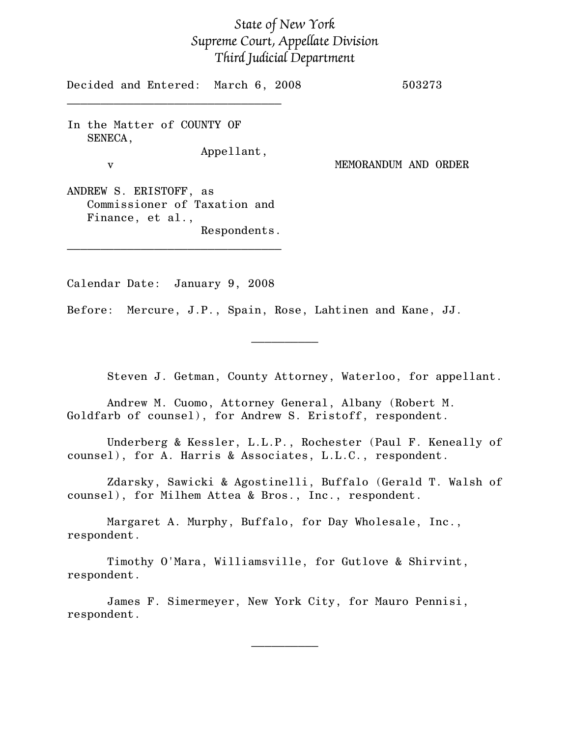## State of New York Supreme Court, Appellate Division Third Judicial Department

Decided and Entered: March 6, 2008 503273

In the Matter of COUNTY OF SENECA, Appellant,

v MEMORANDUM AND ORDER

ANDREW S. ERISTOFF, as Commissioner of Taxation and Finance, et al., Respondents.

 $\mathcal{L}=\{1,2,3,4,5\}$ 

 $\mathcal{L}=\{1,2,3,4,5\}$ 

Calendar Date: January 9, 2008

Before: Mercure, J.P., Spain, Rose, Lahtinen and Kane, JJ.

Steven J. Getman, County Attorney, Waterloo, for appellant.

Andrew M. Cuomo, Attorney General, Albany (Robert M. Goldfarb of counsel), for Andrew S. Eristoff, respondent.

Underberg & Kessler, L.L.P., Rochester (Paul F. Keneally of counsel), for A. Harris & Associates, L.L.C., respondent.

 $\frac{1}{2}$ 

Zdarsky, Sawicki & Agostinelli, Buffalo (Gerald T. Walsh of counsel), for Milhem Attea & Bros., Inc., respondent.

Margaret A. Murphy, Buffalo, for Day Wholesale, Inc., respondent.

Timothy O'Mara, Williamsville, for Gutlove & Shirvint, respondent.

James F. Simermeyer, New York City, for Mauro Pennisi, respondent.

 $\frac{1}{2}$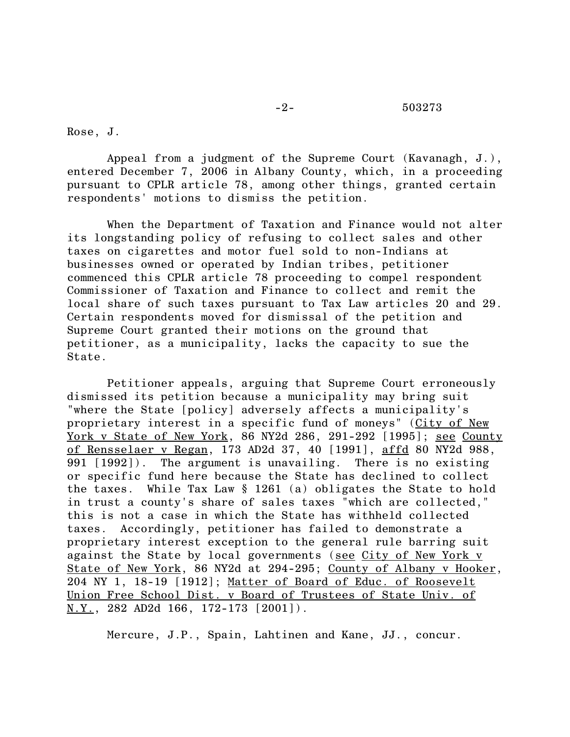## -2- 503273

Rose, J.

Appeal from a judgment of the Supreme Court (Kavanagh, J.), entered December 7, 2006 in Albany County, which, in a proceeding pursuant to CPLR article 78, among other things, granted certain respondents' motions to dismiss the petition.

When the Department of Taxation and Finance would not alter its longstanding policy of refusing to collect sales and other taxes on cigarettes and motor fuel sold to non-Indians at businesses owned or operated by Indian tribes, petitioner commenced this CPLR article 78 proceeding to compel respondent Commissioner of Taxation and Finance to collect and remit the local share of such taxes pursuant to Tax Law articles 20 and 29. Certain respondents moved for dismissal of the petition and Supreme Court granted their motions on the ground that petitioner, as a municipality, lacks the capacity to sue the State.

Petitioner appeals, arguing that Supreme Court erroneously dismissed its petition because a municipality may bring suit "where the State [policy] adversely affects a municipality's proprietary interest in a specific fund of moneys" (City of New York v State of New York, 86 NY2d 286, 291-292 [1995]; see County of Rensselaer v Regan, 173 AD2d 37, 40 [1991], affd 80 NY2d 988, 991 [1992]). The argument is unavailing. There is no existing or specific fund here because the State has declined to collect the taxes. While Tax Law § 1261 (a) obligates the State to hold in trust a county's share of sales taxes "which are collected," this is not a case in which the State has withheld collected taxes. Accordingly, petitioner has failed to demonstrate a proprietary interest exception to the general rule barring suit against the State by local governments (see City of New York v State of New York, 86 NY2d at 294-295; County of Albany v Hooker, 204 NY 1, 18-19 [1912]; Matter of Board of Educ. of Roosevelt Union Free School Dist. v Board of Trustees of State Univ. of  $N.Y.$ , 282 AD2d 166, 172-173 [2001]).

Mercure, J.P., Spain, Lahtinen and Kane, JJ., concur.